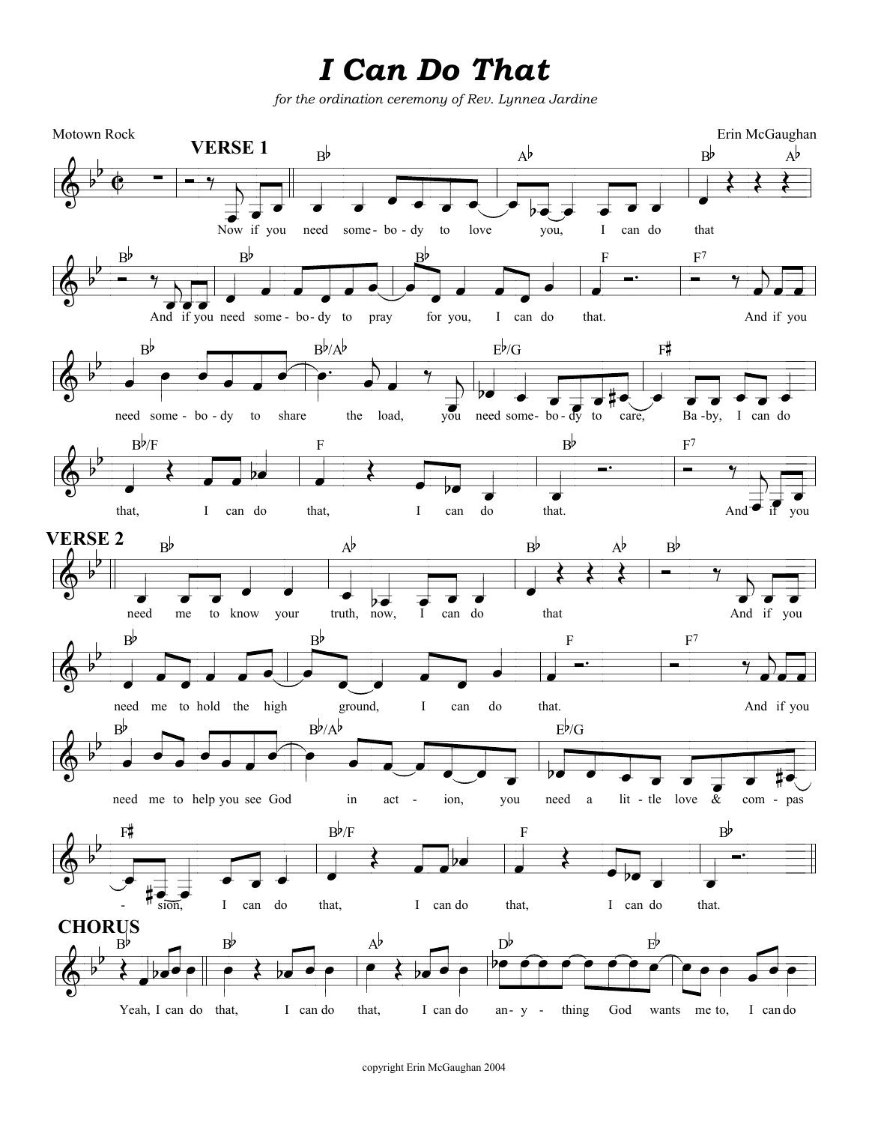## I Can Do That

for the ordination ceremony of Rev. Lynnea Jardine



copyright Erin McGaughan 2004